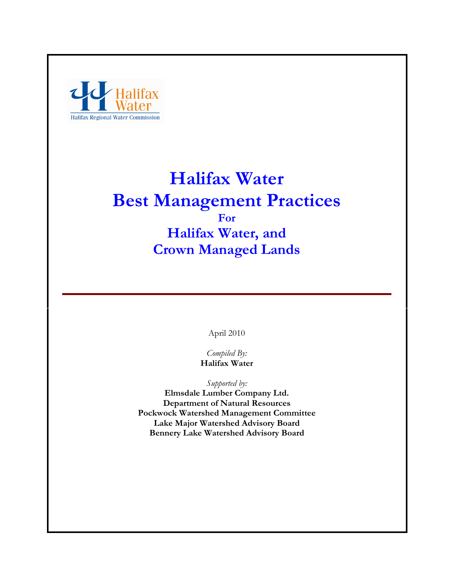

# Halifax Water Best Management Practices For Halifax Water, and Crown Managed Lands

April 2010

Compiled By: Halifax Water

Supported by:

Elmsdale Lumber Company Ltd. Department of Natural Resources Pockwock Watershed Management Committee Lake Major Watershed Advisory Board Bennery Lake Watershed Advisory Board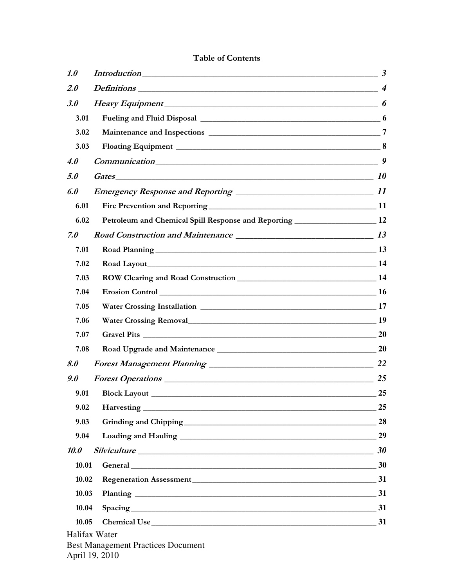# Table of Contents

| 1.0         | $Introduction$ $3$                                                               |    |  |  |  |  |
|-------------|----------------------------------------------------------------------------------|----|--|--|--|--|
| 2.0         |                                                                                  |    |  |  |  |  |
| 3.0         |                                                                                  |    |  |  |  |  |
| 3.01        |                                                                                  |    |  |  |  |  |
| 3.02        |                                                                                  |    |  |  |  |  |
| 3.03        |                                                                                  |    |  |  |  |  |
| <i>4.0</i>  | $Commonization$ 9                                                                |    |  |  |  |  |
| 5.0         |                                                                                  |    |  |  |  |  |
| 6.0         |                                                                                  |    |  |  |  |  |
| 6.01        |                                                                                  |    |  |  |  |  |
| 6.02        | Petroleum and Chemical Spill Response and Reporting _________________________ 12 |    |  |  |  |  |
| 7.0         |                                                                                  |    |  |  |  |  |
| 7.01        |                                                                                  |    |  |  |  |  |
| 7.02        |                                                                                  |    |  |  |  |  |
| 7.03        |                                                                                  |    |  |  |  |  |
| 7.04        |                                                                                  |    |  |  |  |  |
| 7.05        |                                                                                  |    |  |  |  |  |
| 7.06        |                                                                                  |    |  |  |  |  |
| 7.07        |                                                                                  |    |  |  |  |  |
| 7.08        |                                                                                  |    |  |  |  |  |
| 8.0         |                                                                                  |    |  |  |  |  |
| 9.0         |                                                                                  |    |  |  |  |  |
| 9.01        |                                                                                  | 25 |  |  |  |  |
| 9.02        |                                                                                  | 25 |  |  |  |  |
| 9.03        |                                                                                  | 28 |  |  |  |  |
| 9.04        |                                                                                  |    |  |  |  |  |
| <b>10.0</b> | $Silviculture$ 30                                                                |    |  |  |  |  |
| 10.01       | General 2000 30                                                                  |    |  |  |  |  |
| 10.02       |                                                                                  |    |  |  |  |  |
| 10.03       |                                                                                  |    |  |  |  |  |
| 10.04       | Spacing 31                                                                       |    |  |  |  |  |
| 10.05       |                                                                                  |    |  |  |  |  |
|             | Halifax Water<br><b>Best Management Practices Document</b><br>April 19, 2010     |    |  |  |  |  |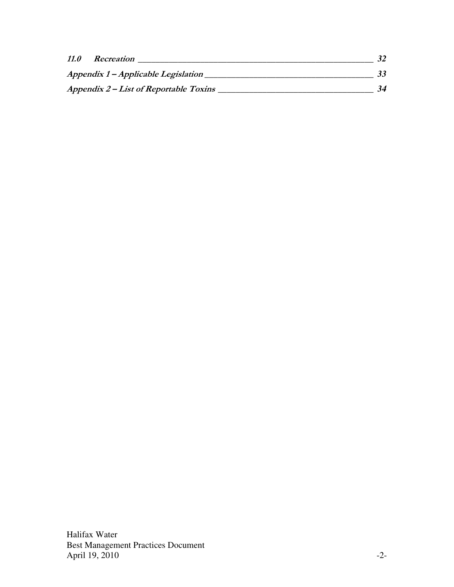| 11.0 | Recreation                             |    |
|------|----------------------------------------|----|
|      | Appendix 1 – Applicable Legislation    |    |
|      | Appendix 2 – List of Reportable Toxins | 34 |

Halifax Water Best Management Practices Document April 19, 2010 -2-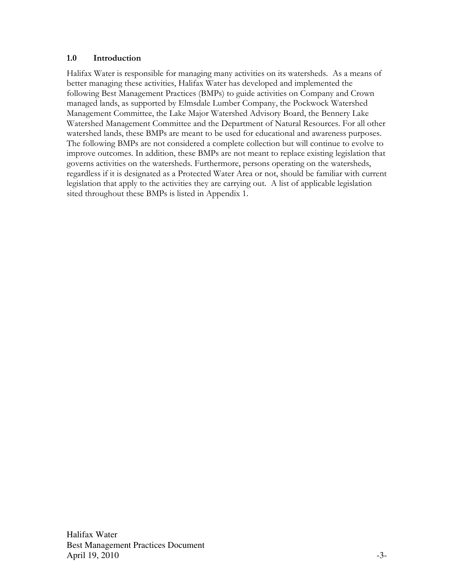### 1.0 Introduction

Halifax Water is responsible for managing many activities on its watersheds. As a means of better managing these activities, Halifax Water has developed and implemented the following Best Management Practices (BMPs) to guide activities on Company and Crown managed lands, as supported by Elmsdale Lumber Company, the Pockwock Watershed Management Committee, the Lake Major Watershed Advisory Board, the Bennery Lake Watershed Management Committee and the Department of Natural Resources. For all other watershed lands, these BMPs are meant to be used for educational and awareness purposes. The following BMPs are not considered a complete collection but will continue to evolve to improve outcomes. In addition, these BMPs are not meant to replace existing legislation that governs activities on the watersheds. Furthermore, persons operating on the watersheds, regardless if it is designated as a Protected Water Area or not, should be familiar with current legislation that apply to the activities they are carrying out. A list of applicable legislation sited throughout these BMPs is listed in Appendix 1.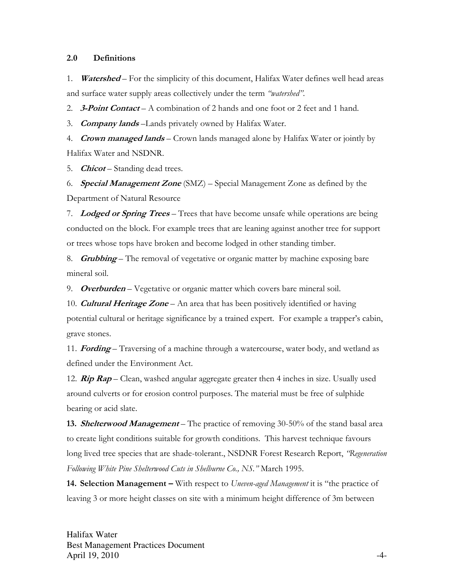#### 2.0 Definitions

1. **Watershed** – For the simplicity of this document, Halifax Water defines well head areas and surface water supply areas collectively under the term "watershed".

2. **3-Point Contact** – A combination of 2 hands and one foot or 2 feet and 1 hand.

3. **Company lands** – Lands privately owned by Halifax Water.

4. Crown managed lands – Crown lands managed alone by Halifax Water or jointly by Halifax Water and NSDNR.

5. *Chicot* – Standing dead trees.

6. **Special Management Zone** (SMZ) – Special Management Zone as defined by the Department of Natural Resource

7. Lodged or Spring Trees – Trees that have become unsafe while operations are being conducted on the block. For example trees that are leaning against another tree for support or trees whose tops have broken and become lodged in other standing timber.

8. **Grubbing** – The removal of vegetative or organic matter by machine exposing bare mineral soil.

9. **Overburden** – Vegetative or organic matter which covers bare mineral soil.

10. **Cultural Heritage Zone** – An area that has been positively identified or having potential cultural or heritage significance by a trained expert. For example a trapper's cabin, grave stones.

11. **Fording** – Traversing of a machine through a watercourse, water body, and wetland as defined under the Environment Act.

12.  $\mathbb{R}ip \mathbb{R}ap$  – Clean, washed angular aggregate greater then 4 inches in size. Usually used around culverts or for erosion control purposes. The material must be free of sulphide bearing or acid slate.

**13. Shelterwood Management** – The practice of removing 30-50% of the stand basal area to create light conditions suitable for growth conditions. This harvest technique favours long lived tree species that are shade-tolerant., NSDNR Forest Research Report, "Regeneration Following White Pine Shelterwood Cuts in Shelburne Co., NS." March 1995.

14. Selection Management – With respect to Uneven-aged Management it is "the practice of leaving 3 or more height classes on site with a minimum height difference of 3m between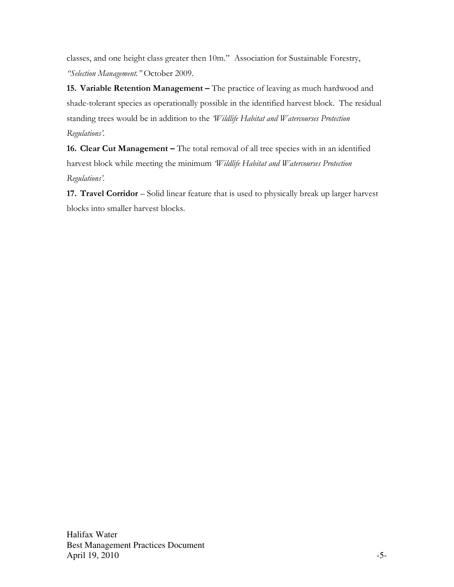classes, and one height class greater then 10m." Association for Sustainable Forestry, "Selection Management." October 2009.

15. Variable Retention Management – The practice of leaving as much hardwood and shade-tolerant species as operationally possible in the identified harvest block. The residual standing trees would be in addition to the *Wildlife Habitat and Watercourses Protection* Regulations'.

16. Clear Cut Management – The total removal of all tree species with in an identified harvest block while meeting the minimum 'Wildlife Habitat and Watercourses Protection Regulations'.

17. Travel Corridor – Solid linear feature that is used to physically break up larger harvest blocks into smaller harvest blocks.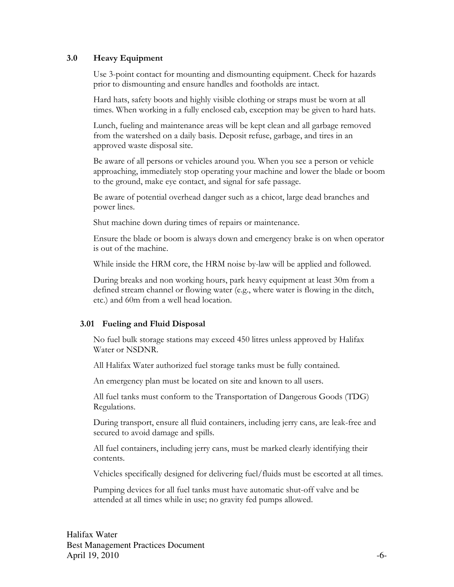## 3.0 Heavy Equipment

Use 3-point contact for mounting and dismounting equipment. Check for hazards prior to dismounting and ensure handles and footholds are intact.

Hard hats, safety boots and highly visible clothing or straps must be worn at all times. When working in a fully enclosed cab, exception may be given to hard hats.

Lunch, fueling and maintenance areas will be kept clean and all garbage removed from the watershed on a daily basis. Deposit refuse, garbage, and tires in an approved waste disposal site.

Be aware of all persons or vehicles around you. When you see a person or vehicle approaching, immediately stop operating your machine and lower the blade or boom to the ground, make eye contact, and signal for safe passage.

Be aware of potential overhead danger such as a chicot, large dead branches and power lines.

Shut machine down during times of repairs or maintenance.

Ensure the blade or boom is always down and emergency brake is on when operator is out of the machine.

While inside the HRM core, the HRM noise by-law will be applied and followed.

During breaks and non working hours, park heavy equipment at least 30m from a defined stream channel or flowing water (e.g., where water is flowing in the ditch, etc.) and 60m from a well head location.

### 3.01 Fueling and Fluid Disposal

No fuel bulk storage stations may exceed 450 litres unless approved by Halifax Water or NSDNR.

All Halifax Water authorized fuel storage tanks must be fully contained.

An emergency plan must be located on site and known to all users.

All fuel tanks must conform to the Transportation of Dangerous Goods (TDG) Regulations.

During transport, ensure all fluid containers, including jerry cans, are leak-free and secured to avoid damage and spills.

All fuel containers, including jerry cans, must be marked clearly identifying their contents.

Vehicles specifically designed for delivering fuel/fluids must be escorted at all times.

Pumping devices for all fuel tanks must have automatic shut-off valve and be attended at all times while in use; no gravity fed pumps allowed.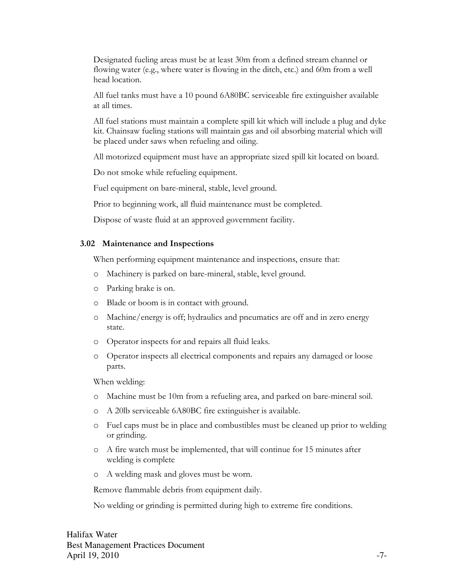Designated fueling areas must be at least 30m from a defined stream channel or flowing water (e.g., where water is flowing in the ditch, etc.) and 60m from a well head location.

All fuel tanks must have a 10 pound 6A80BC serviceable fire extinguisher available at all times.

All fuel stations must maintain a complete spill kit which will include a plug and dyke kit. Chainsaw fueling stations will maintain gas and oil absorbing material which will be placed under saws when refueling and oiling.

All motorized equipment must have an appropriate sized spill kit located on board.

Do not smoke while refueling equipment.

Fuel equipment on bare-mineral, stable, level ground.

Prior to beginning work, all fluid maintenance must be completed.

Dispose of waste fluid at an approved government facility.

#### 3.02 Maintenance and Inspections

When performing equipment maintenance and inspections, ensure that:

- o Machinery is parked on bare-mineral, stable, level ground.
- o Parking brake is on.
- o Blade or boom is in contact with ground.
- o Machine/energy is off; hydraulics and pneumatics are off and in zero energy state.
- o Operator inspects for and repairs all fluid leaks.
- o Operator inspects all electrical components and repairs any damaged or loose parts.

When welding:

- o Machine must be 10m from a refueling area, and parked on bare-mineral soil.
- o A 20lb serviceable 6A80BC fire extinguisher is available.
- o Fuel caps must be in place and combustibles must be cleaned up prior to welding or grinding.
- o A fire watch must be implemented, that will continue for 15 minutes after welding is complete
- o A welding mask and gloves must be worn.

Remove flammable debris from equipment daily.

No welding or grinding is permitted during high to extreme fire conditions.

Halifax Water Best Management Practices Document April 19, 2010  $-7-$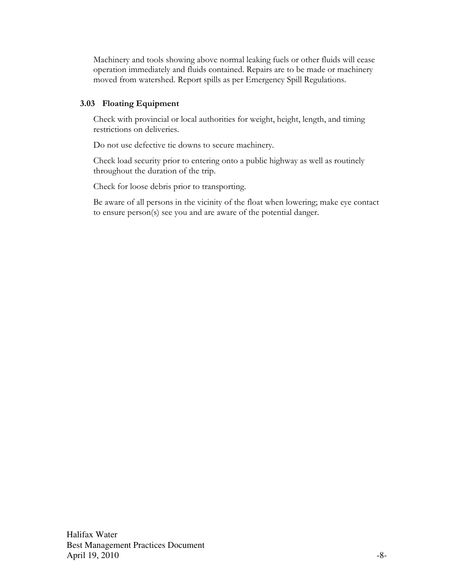Machinery and tools showing above normal leaking fuels or other fluids will cease operation immediately and fluids contained. Repairs are to be made or machinery moved from watershed. Report spills as per Emergency Spill Regulations.

## 3.03 Floating Equipment

Check with provincial or local authorities for weight, height, length, and timing restrictions on deliveries.

Do not use defective tie downs to secure machinery.

Check load security prior to entering onto a public highway as well as routinely throughout the duration of the trip.

Check for loose debris prior to transporting.

Be aware of all persons in the vicinity of the float when lowering; make eye contact to ensure person(s) see you and are aware of the potential danger.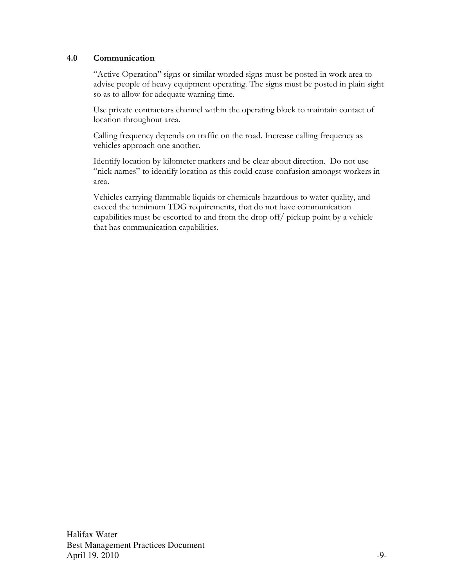### 4.0 Communication

"Active Operation" signs or similar worded signs must be posted in work area to advise people of heavy equipment operating. The signs must be posted in plain sight so as to allow for adequate warning time.

Use private contractors channel within the operating block to maintain contact of location throughout area.

Calling frequency depends on traffic on the road. Increase calling frequency as vehicles approach one another.

Identify location by kilometer markers and be clear about direction. Do not use "nick names" to identify location as this could cause confusion amongst workers in area.

Vehicles carrying flammable liquids or chemicals hazardous to water quality, and exceed the minimum TDG requirements, that do not have communication capabilities must be escorted to and from the drop off/ pickup point by a vehicle that has communication capabilities.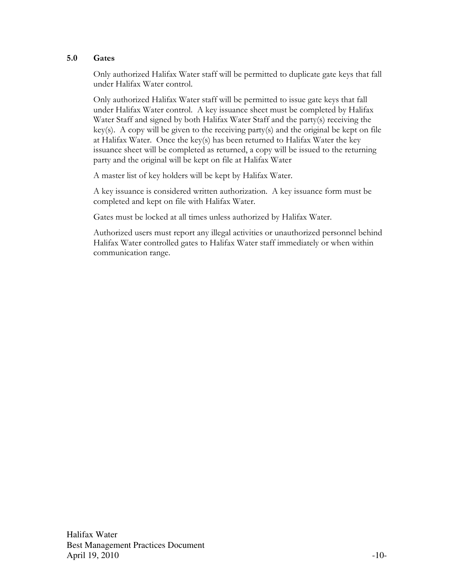#### 5.0 Gates

Only authorized Halifax Water staff will be permitted to duplicate gate keys that fall under Halifax Water control.

Only authorized Halifax Water staff will be permitted to issue gate keys that fall under Halifax Water control. A key issuance sheet must be completed by Halifax Water Staff and signed by both Halifax Water Staff and the party(s) receiving the key(s). A copy will be given to the receiving party(s) and the original be kept on file at Halifax Water. Once the key(s) has been returned to Halifax Water the key issuance sheet will be completed as returned, a copy will be issued to the returning party and the original will be kept on file at Halifax Water

A master list of key holders will be kept by Halifax Water.

A key issuance is considered written authorization. A key issuance form must be completed and kept on file with Halifax Water.

Gates must be locked at all times unless authorized by Halifax Water.

Authorized users must report any illegal activities or unauthorized personnel behind Halifax Water controlled gates to Halifax Water staff immediately or when within communication range.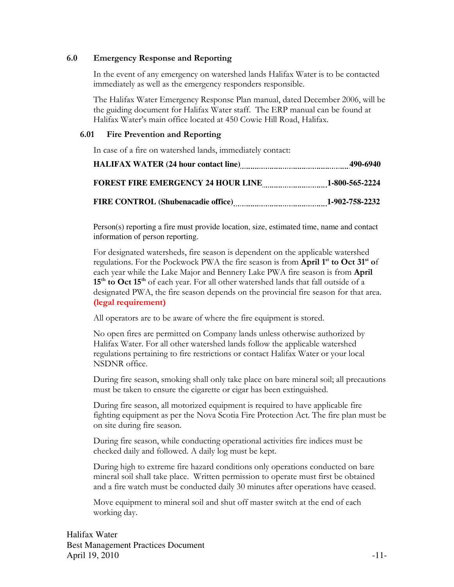#### 6.0 Emergency Response and Reporting

In the event of any emergency on watershed lands Halifax Water is to be contacted immediately as well as the emergency responders responsible.

The Halifax Water Emergency Response Plan manual, dated December 2006, will be the guiding document for Halifax Water staff. The ERP manual can be found at Halifax Water's main office located at 450 Cowie Hill Road, Halifax.

#### 6.01 Fire Prevention and Reporting

In case of a fire on watershed lands, immediately contact:

| HALIFAX WATER (24 hour contact line) [11] [21] MALIFAX WATER (24 hour contact line) | 490-6940       |
|-------------------------------------------------------------------------------------|----------------|
| <b>FOREST FIRE EMERGENCY 24 HOUR LINE</b>                                           | 1-800-565-2224 |
| <b>FIRE CONTROL (Shubenacadie office)</b>                                           | 1-902-758-2232 |

Person(s) reporting a fire must provide location, size, estimated time, name and contact information of person reporting.

For designated watersheds, fire season is dependent on the applicable watershed regulations. For the Pockwock PWA the fire season is from April 1<sup>st</sup> to Oct 31<sup>st</sup> of each year while the Lake Major and Bennery Lake PWA fire season is from April  $15<sup>th</sup>$  to Oct  $15<sup>th</sup>$  of each year. For all other watershed lands that fall outside of a designated PWA, the fire season depends on the provincial fire season for that area. (legal requirement)

All operators are to be aware of where the fire equipment is stored.

No open fires are permitted on Company lands unless otherwise authorized by Halifax Water. For all other watershed lands follow the applicable watershed regulations pertaining to fire restrictions or contact Halifax Water or your local NSDNR office.

During fire season, smoking shall only take place on bare mineral soil; all precautions must be taken to ensure the cigarette or cigar has been extinguished.

During fire season, all motorized equipment is required to have applicable fire fighting equipment as per the Nova Scotia Fire Protection Act. The fire plan must be on site during fire season.

During fire season, while conducting operational activities fire indices must be checked daily and followed. A daily log must be kept.

During high to extreme fire hazard conditions only operations conducted on bare mineral soil shall take place. Written permission to operate must first be obtained and a fire watch must be conducted daily 30 minutes after operations have ceased.

Move equipment to mineral soil and shut off master switch at the end of each working day.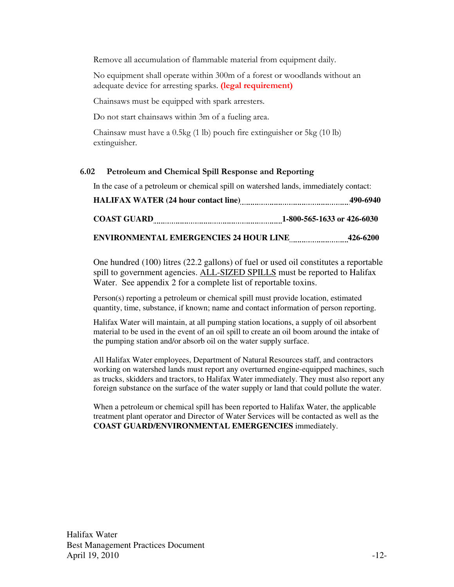Remove all accumulation of flammable material from equipment daily.

No equipment shall operate within 300m of a forest or woodlands without an adequate device for arresting sparks. (legal requirement)

Chainsaws must be equipped with spark arresters.

Do not start chainsaws within 3m of a fueling area.

Chainsaw must have a 0.5kg (1 lb) pouch fire extinguisher or 5kg (10 lb) extinguisher.

### 6.02 Petroleum and Chemical Spill Response and Reporting

In the case of a petroleum or chemical spill on watershed lands, immediately contact:

| <b>HALIFAX WATER (24 hour contact line)</b>   | 490-6940                   |
|-----------------------------------------------|----------------------------|
| <b>COAST GUARD</b>                            | 1-800-565-1633 or 426-6030 |
| <b>ENVIRONMENTAL EMERGENCIES 24 HOUR LINE</b> | 426-6200                   |

One hundred (100) litres (22.2 gallons) of fuel or used oil constitutes a reportable spill to government agencies. ALL-SIZED SPILLS must be reported to Halifax Water. See appendix 2 for a complete list of reportable toxins.

Person(s) reporting a petroleum or chemical spill must provide location, estimated quantity, time, substance, if known; name and contact information of person reporting.

Halifax Water will maintain, at all pumping station locations, a supply of oil absorbent material to be used in the event of an oil spill to create an oil boom around the intake of the pumping station and/or absorb oil on the water supply surface.

All Halifax Water employees, Department of Natural Resources staff, and contractors working on watershed lands must report any overturned engine-equipped machines, such as trucks, skidders and tractors, to Halifax Water immediately. They must also report any foreign substance on the surface of the water supply or land that could pollute the water.

When a petroleum or chemical spill has been reported to Halifax Water, the applicable treatment plant operator and Director of Water Services will be contacted as well as the **COAST GUARD/ENVIRONMENTAL EMERGENCIES** immediately.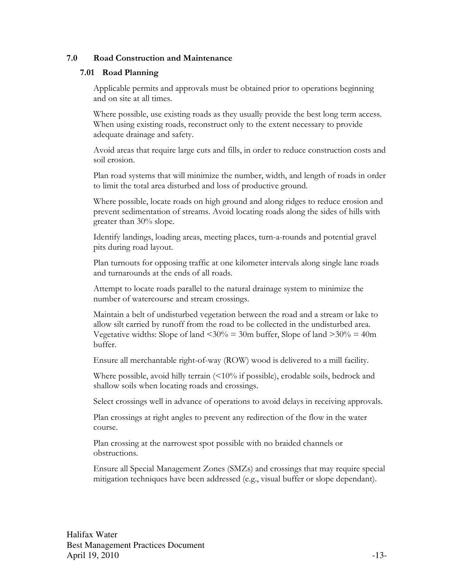#### 7.0 Road Construction and Maintenance

#### 7.01 Road Planning

Applicable permits and approvals must be obtained prior to operations beginning and on site at all times.

Where possible, use existing roads as they usually provide the best long term access. When using existing roads, reconstruct only to the extent necessary to provide adequate drainage and safety.

Avoid areas that require large cuts and fills, in order to reduce construction costs and soil erosion.

Plan road systems that will minimize the number, width, and length of roads in order to limit the total area disturbed and loss of productive ground.

Where possible, locate roads on high ground and along ridges to reduce erosion and prevent sedimentation of streams. Avoid locating roads along the sides of hills with greater than 30% slope.

Identify landings, loading areas, meeting places, turn-a-rounds and potential gravel pits during road layout.

Plan turnouts for opposing traffic at one kilometer intervals along single lane roads and turnarounds at the ends of all roads.

Attempt to locate roads parallel to the natural drainage system to minimize the number of watercourse and stream crossings.

Maintain a belt of undisturbed vegetation between the road and a stream or lake to allow silt carried by runoff from the road to be collected in the undisturbed area. Vegetative widths: Slope of land  $\langle 30\% \rangle = 30$ m buffer, Slope of land  $>30\% = 40$ m buffer.

Ensure all merchantable right-of-way (ROW) wood is delivered to a mill facility.

Where possible, avoid hilly terrain (<10% if possible), erodable soils, bedrock and shallow soils when locating roads and crossings.

Select crossings well in advance of operations to avoid delays in receiving approvals.

Plan crossings at right angles to prevent any redirection of the flow in the water course.

Plan crossing at the narrowest spot possible with no braided channels or obstructions.

Ensure all Special Management Zones (SMZs) and crossings that may require special mitigation techniques have been addressed (e.g., visual buffer or slope dependant).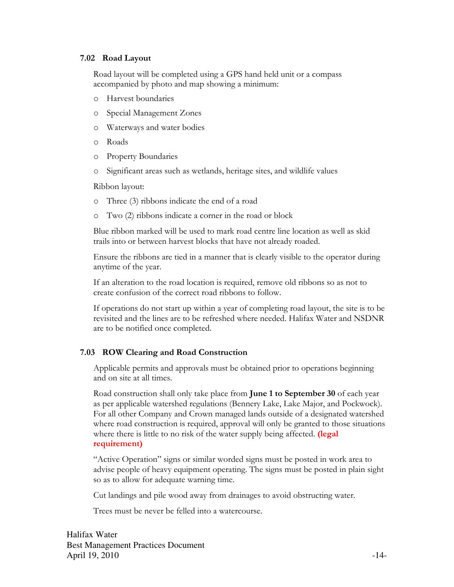#### 7.02 Road Layout

Road layout will be completed using a GPS hand held unit or a compass accompanied by photo and map showing a minimum:

- o Harvest boundaries
- o Special Management Zones
- o Waterways and water bodies
- o Roads
- o Property Boundaries
- o Significant areas such as wetlands, heritage sites, and wildlife values

Ribbon layout:

- o Three (3) ribbons indicate the end of a road
- o Two (2) ribbons indicate a corner in the road or block

Blue ribbon marked will be used to mark road centre line location as well as skid trails into or between harvest blocks that have not already roaded.

Ensure the ribbons are tied in a manner that is clearly visible to the operator during anytime of the year.

If an alteration to the road location is required, remove old ribbons so as not to create confusion of the correct road ribbons to follow.

If operations do not start up within a year of completing road layout, the site is to be revisited and the lines are to be refreshed where needed. Halifax Water and NSDNR are to be notified once completed.

## 7.03 ROW Clearing and Road Construction

Applicable permits and approvals must be obtained prior to operations beginning and on site at all times.

Road construction shall only take place from June 1 to September 30 of each year as per applicable watershed regulations (Bennery Lake, Lake Major, and Pockwock). For all other Company and Crown managed lands outside of a designated watershed where road construction is required, approval will only be granted to those situations where there is little to no risk of the water supply being affected. (legal requirement)

"Active Operation" signs or similar worded signs must be posted in work area to advise people of heavy equipment operating. The signs must be posted in plain sight so as to allow for adequate warning time.

Cut landings and pile wood away from drainages to avoid obstructing water.

Trees must be never be felled into a watercourse.

Halifax Water Best Management Practices Document April 19, 2010  $-14-$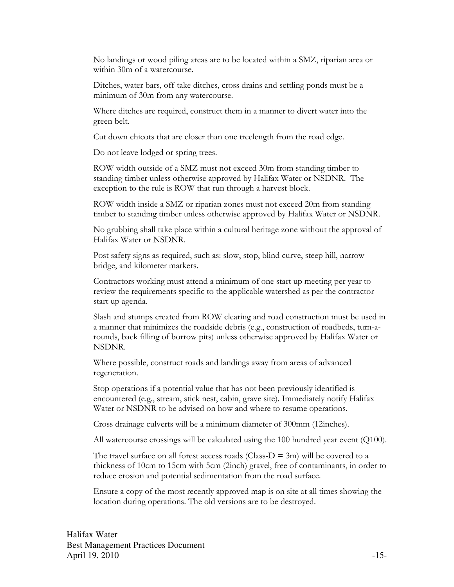No landings or wood piling areas are to be located within a SMZ, riparian area or within 30m of a watercourse.

Ditches, water bars, off-take ditches, cross drains and settling ponds must be a minimum of 30m from any watercourse.

Where ditches are required, construct them in a manner to divert water into the green belt.

Cut down chicots that are closer than one treelength from the road edge.

Do not leave lodged or spring trees.

ROW width outside of a SMZ must not exceed 30m from standing timber to standing timber unless otherwise approved by Halifax Water or NSDNR. The exception to the rule is ROW that run through a harvest block.

ROW width inside a SMZ or riparian zones must not exceed 20m from standing timber to standing timber unless otherwise approved by Halifax Water or NSDNR.

No grubbing shall take place within a cultural heritage zone without the approval of Halifax Water or NSDNR.

Post safety signs as required, such as: slow, stop, blind curve, steep hill, narrow bridge, and kilometer markers.

Contractors working must attend a minimum of one start up meeting per year to review the requirements specific to the applicable watershed as per the contractor start up agenda.

Slash and stumps created from ROW clearing and road construction must be used in a manner that minimizes the roadside debris (e.g., construction of roadbeds, turn-arounds, back filling of borrow pits) unless otherwise approved by Halifax Water or NSDNR.

Where possible, construct roads and landings away from areas of advanced regeneration.

Stop operations if a potential value that has not been previously identified is encountered (e.g., stream, stick nest, cabin, grave site). Immediately notify Halifax Water or NSDNR to be advised on how and where to resume operations.

Cross drainage culverts will be a minimum diameter of 300mm (12inches).

All watercourse crossings will be calculated using the 100 hundred year event (Q100).

The travel surface on all forest access roads (Class- $D = 3m$ ) will be covered to a thickness of 10cm to 15cm with 5cm (2inch) gravel, free of contaminants, in order to reduce erosion and potential sedimentation from the road surface.

Ensure a copy of the most recently approved map is on site at all times showing the location during operations. The old versions are to be destroyed.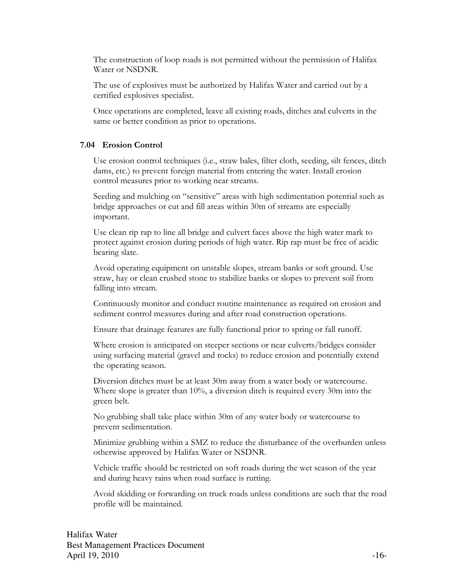The construction of loop roads is not permitted without the permission of Halifax Water or NSDNR.

The use of explosives must be authorized by Halifax Water and carried out by a certified explosives specialist.

Once operations are completed, leave all existing roads, ditches and culverts in the same or better condition as prior to operations.

## 7.04 Erosion Control

Use erosion control techniques (i.e., straw bales, filter cloth, seeding, silt fences, ditch dams, etc.) to prevent foreign material from entering the water. Install erosion control measures prior to working near streams.

Seeding and mulching on "sensitive" areas with high sedimentation potential such as bridge approaches or cut and fill areas within 30m of streams are especially important.

Use clean rip rap to line all bridge and culvert faces above the high water mark to protect against erosion during periods of high water. Rip rap must be free of acidic bearing slate.

Avoid operating equipment on unstable slopes, stream banks or soft ground. Use straw, hay or clean crushed stone to stabilize banks or slopes to prevent soil from falling into stream.

Continuously monitor and conduct routine maintenance as required on erosion and sediment control measures during and after road construction operations.

Ensure that drainage features are fully functional prior to spring or fall runoff.

Where erosion is anticipated on steeper sections or near culverts/bridges consider using surfacing material (gravel and rocks) to reduce erosion and potentially extend the operating season.

Diversion ditches must be at least 30m away from a water body or watercourse. Where slope is greater than 10%, a diversion ditch is required every 30m into the green belt.

No grubbing shall take place within 30m of any water body or watercourse to prevent sedimentation.

Minimize grubbing within a SMZ to reduce the disturbance of the overburden unless otherwise approved by Halifax Water or NSDNR.

Vehicle traffic should be restricted on soft roads during the wet season of the year and during heavy rains when road surface is rutting.

Avoid skidding or forwarding on truck roads unless conditions are such that the road profile will be maintained.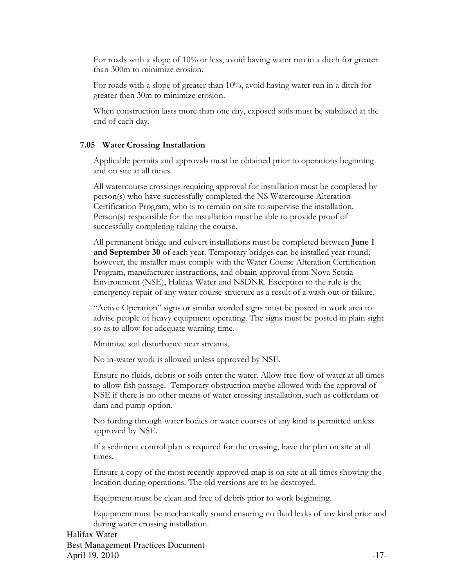For roads with a slope of 10% or less, avoid having water run in a ditch for greater than 300m to minimize erosion.

For roads with a slope of greater than 10%, avoid having water run in a ditch for greater then 30m to minimize erosion.

When construction lasts more than one day, exposed soils must be stabilized at the end of each day.

#### 7.05 Water Crossing Installation

Applicable permits and approvals must be obtained prior to operations beginning and on site at all times.

All watercourse crossings requiring approval for installation must be completed by person(s) who have successfully completed the NS Watercourse Alteration Certification Program, who is to remain on site to supervise the installation. Person(s) responsible for the installation must be able to provide proof of successfully completing taking the course.

All permanent bridge and culvert installations must be completed between **June 1** and September 30 of each year. Temporary bridges can be installed year round; however, the installer must comply with the Water Course Alteration Certification Program, manufacturer instructions, and obtain approval from Nova Scotia Environment (NSE), Halifax Water and NSDNR. Exception to the rule is the emergency repair of any water course structure as a result of a wash out or failure.

"Active Operation" signs or similar worded signs must be posted in work area to advise people of heavy equipment operating. The signs must be posted in plain sight so as to allow for adequate warning time.

Minimize soil disturbance near streams.

No in-water work is allowed unless approved by NSE.

Ensure no fluids, debris or soils enter the water. Allow free flow of water at all times to allow fish passage. Temporary obstruction maybe allowed with the approval of NSE if there is no other means of water crossing installation, such as cofferdam or dam and pump option.

No fording through water bodies or water courses of any kind is permitted unless approved by NSE.

If a sediment control plan is required for the crossing, have the plan on site at all times.

Ensure a copy of the most recently approved map is on site at all times showing the location during operations. The old versions are to be destroyed.

Equipment must be clean and free of debris prior to work beginning.

Equipment must be mechanically sound ensuring no fluid leaks of any kind prior and during water crossing installation.

Halifax Water Best Management Practices Document April 19, 2010  $-17$ -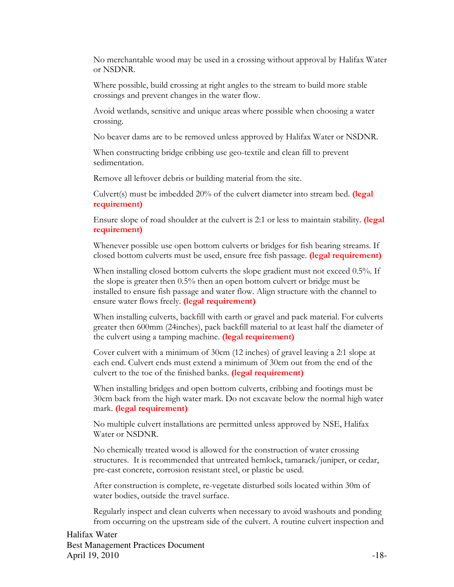No merchantable wood may be used in a crossing without approval by Halifax Water or NSDNR.

Where possible, build crossing at right angles to the stream to build more stable crossings and prevent changes in the water flow.

Avoid wetlands, sensitive and unique areas where possible when choosing a water crossing.

No beaver dams are to be removed unless approved by Halifax Water or NSDNR.

When constructing bridge cribbing use geo-textile and clean fill to prevent sedimentation.

Remove all leftover debris or building material from the site.

Culvert(s) must be imbedded  $20\%$  of the culvert diameter into stream bed. (legal requirement)

Ensure slope of road shoulder at the culvert is 2:1 or less to maintain stability. (legal requirement)

Whenever possible use open bottom culverts or bridges for fish bearing streams. If closed bottom culverts must be used, ensure free fish passage. (legal requirement)

When installing closed bottom culverts the slope gradient must not exceed 0.5%. If the slope is greater then 0.5% then an open bottom culvert or bridge must be installed to ensure fish passage and water flow. Align structure with the channel to ensure water flows freely. (legal requirement)

When installing culverts, backfill with earth or gravel and pack material. For culverts greater then 600mm (24inches), pack backfill material to at least half the diameter of the culvert using a tamping machine. (legal requirement)

Cover culvert with a minimum of 30cm (12 inches) of gravel leaving a 2:1 slope at each end. Culvert ends must extend a minimum of 30cm out from the end of the culvert to the toe of the finished banks. (legal requirement)

When installing bridges and open bottom culverts, cribbing and footings must be 30cm back from the high water mark. Do not excavate below the normal high water mark. (legal requirement)

No multiple culvert installations are permitted unless approved by NSE, Halifax Water or NSDNR.

No chemically treated wood is allowed for the construction of water crossing structures. It is recommended that untreated hemlock, tamarack/juniper, or cedar, pre-cast concrete, corrosion resistant steel, or plastic be used.

After construction is complete, re-vegetate disturbed soils located within 30m of water bodies, outside the travel surface.

Regularly inspect and clean culverts when necessary to avoid washouts and ponding from occurring on the upstream side of the culvert. A routine culvert inspection and

Halifax Water Best Management Practices Document April 19, 2010  $-18$ -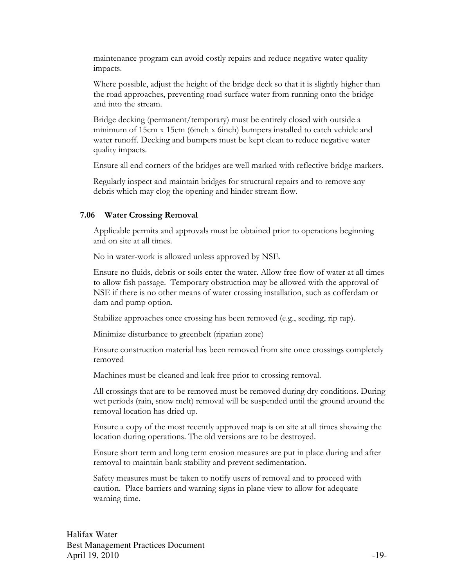maintenance program can avoid costly repairs and reduce negative water quality impacts.

Where possible, adjust the height of the bridge deck so that it is slightly higher than the road approaches, preventing road surface water from running onto the bridge and into the stream.

Bridge decking (permanent/temporary) must be entirely closed with outside a minimum of 15cm x 15cm (6inch x 6inch) bumpers installed to catch vehicle and water runoff. Decking and bumpers must be kept clean to reduce negative water quality impacts.

Ensure all end corners of the bridges are well marked with reflective bridge markers.

Regularly inspect and maintain bridges for structural repairs and to remove any debris which may clog the opening and hinder stream flow.

#### 7.06 Water Crossing Removal

Applicable permits and approvals must be obtained prior to operations beginning and on site at all times.

No in water-work is allowed unless approved by NSE.

Ensure no fluids, debris or soils enter the water. Allow free flow of water at all times to allow fish passage. Temporary obstruction may be allowed with the approval of NSE if there is no other means of water crossing installation, such as cofferdam or dam and pump option.

Stabilize approaches once crossing has been removed (e.g., seeding, rip rap).

Minimize disturbance to greenbelt (riparian zone)

Ensure construction material has been removed from site once crossings completely removed

Machines must be cleaned and leak free prior to crossing removal.

All crossings that are to be removed must be removed during dry conditions. During wet periods (rain, snow melt) removal will be suspended until the ground around the removal location has dried up.

Ensure a copy of the most recently approved map is on site at all times showing the location during operations. The old versions are to be destroyed.

Ensure short term and long term erosion measures are put in place during and after removal to maintain bank stability and prevent sedimentation.

Safety measures must be taken to notify users of removal and to proceed with caution. Place barriers and warning signs in plane view to allow for adequate warning time.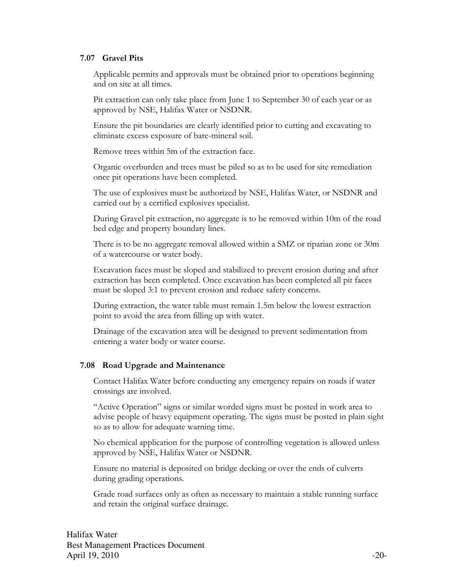#### 7.07 Gravel Pits

Applicable permits and approvals must be obtained prior to operations beginning and on site at all times.

Pit extraction can only take place from June 1 to September 30 of each year or as approved by NSE, Halifax Water or NSDNR.

Ensure the pit boundaries are clearly identified prior to cutting and excavating to eliminate excess exposure of bare-mineral soil.

Remove trees within 5m of the extraction face.

Organic overburden and trees must be piled so as to be used for site remediation once pit operations have been completed.

The use of explosives must be authorized by NSE, Halifax Water, or NSDNR and carried out by a certified explosives specialist.

During Gravel pit extraction, no aggregate is to be removed within 10m of the road bed edge and property boundary lines.

There is to be no aggregate removal allowed within a SMZ or riparian zone or 30m of a watercourse or water body.

Excavation faces must be sloped and stabilized to prevent erosion during and after extraction has been completed. Once excavation has been completed all pit faces must be sloped 3:1 to prevent erosion and reduce safety concerns.

During extraction, the water table must remain 1.5m below the lowest extraction point to avoid the area from filling up with water.

Drainage of the excavation area will be designed to prevent sedimentation from entering a water body or water course.

### 7.08 Road Upgrade and Maintenance

Contact Halifax Water before conducting any emergency repairs on roads if water crossings are involved.

"Active Operation" signs or similar worded signs must be posted in work area to advise people of heavy equipment operating. The signs must be posted in plain sight so as to allow for adequate warning time.

No chemical application for the purpose of controlling vegetation is allowed unless approved by NSE, Halifax Water or NSDNR.

Ensure no material is deposited on bridge decking or over the ends of culverts during grading operations.

Grade road surfaces only as often as necessary to maintain a stable running surface and retain the original surface drainage.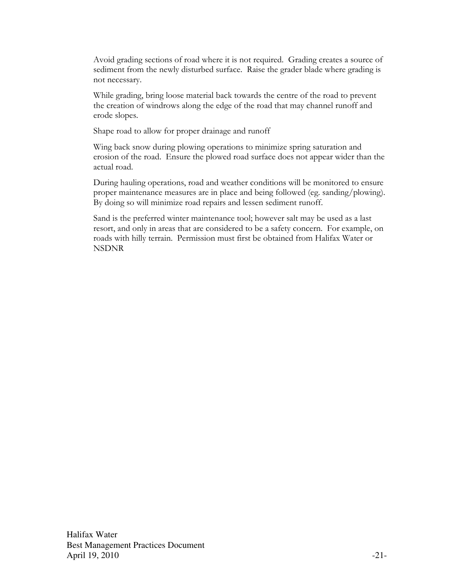Avoid grading sections of road where it is not required. Grading creates a source of sediment from the newly disturbed surface. Raise the grader blade where grading is not necessary.

While grading, bring loose material back towards the centre of the road to prevent the creation of windrows along the edge of the road that may channel runoff and erode slopes.

Shape road to allow for proper drainage and runoff

Wing back snow during plowing operations to minimize spring saturation and erosion of the road. Ensure the plowed road surface does not appear wider than the actual road.

During hauling operations, road and weather conditions will be monitored to ensure proper maintenance measures are in place and being followed (eg. sanding/plowing). By doing so will minimize road repairs and lessen sediment runoff.

Sand is the preferred winter maintenance tool; however salt may be used as a last resort, and only in areas that are considered to be a safety concern. For example, on roads with hilly terrain. Permission must first be obtained from Halifax Water or NSDNR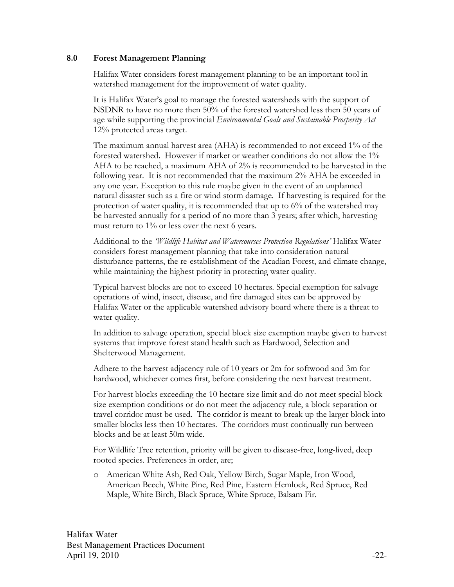#### 8.0 Forest Management Planning

Halifax Water considers forest management planning to be an important tool in watershed management for the improvement of water quality.

It is Halifax Water's goal to manage the forested watersheds with the support of NSDNR to have no more then 50% of the forested watershed less then 50 years of age while supporting the provincial Environmental Goals and Sustainable Prosperity Act 12% protected areas target.

The maximum annual harvest area (AHA) is recommended to not exceed 1% of the forested watershed. However if market or weather conditions do not allow the 1% AHA to be reached, a maximum AHA of 2% is recommended to be harvested in the following year. It is not recommended that the maximum 2% AHA be exceeded in any one year. Exception to this rule maybe given in the event of an unplanned natural disaster such as a fire or wind storm damage. If harvesting is required for the protection of water quality, it is recommended that up to 6% of the watershed may be harvested annually for a period of no more than 3 years; after which, harvesting must return to  $1\%$  or less over the next 6 years.

Additional to the *Wildlife Habitat and Watercourses Protection Regulations'* Halifax Water considers forest management planning that take into consideration natural disturbance patterns, the re-establishment of the Acadian Forest, and climate change, while maintaining the highest priority in protecting water quality.

Typical harvest blocks are not to exceed 10 hectares. Special exemption for salvage operations of wind, insect, disease, and fire damaged sites can be approved by Halifax Water or the applicable watershed advisory board where there is a threat to water quality.

In addition to salvage operation, special block size exemption maybe given to harvest systems that improve forest stand health such as Hardwood, Selection and Shelterwood Management.

Adhere to the harvest adjacency rule of 10 years or 2m for softwood and 3m for hardwood, whichever comes first, before considering the next harvest treatment.

For harvest blocks exceeding the 10 hectare size limit and do not meet special block size exemption conditions or do not meet the adjacency rule, a block separation or travel corridor must be used. The corridor is meant to break up the larger block into smaller blocks less then 10 hectares. The corridors must continually run between blocks and be at least 50m wide.

For Wildlife Tree retention, priority will be given to disease-free, long-lived, deep rooted species. Preferences in order, are;

o American White Ash, Red Oak, Yellow Birch, Sugar Maple, Iron Wood, American Beech, White Pine, Red Pine, Eastern Hemlock, Red Spruce, Red Maple, White Birch, Black Spruce, White Spruce, Balsam Fir.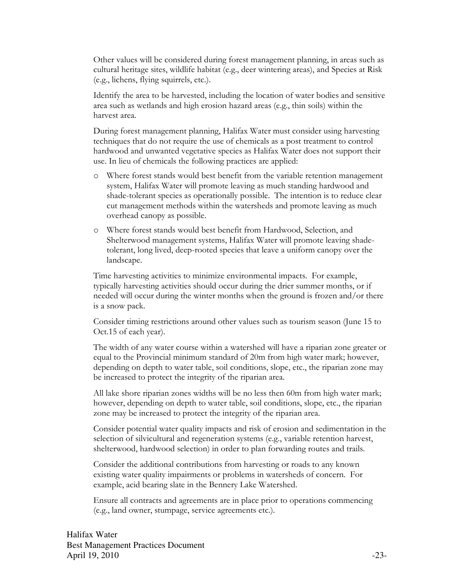Other values will be considered during forest management planning, in areas such as cultural heritage sites, wildlife habitat (e.g., deer wintering areas), and Species at Risk (e.g., lichens, flying squirrels, etc.).

Identify the area to be harvested, including the location of water bodies and sensitive area such as wetlands and high erosion hazard areas (e.g., thin soils) within the harvest area.

During forest management planning, Halifax Water must consider using harvesting techniques that do not require the use of chemicals as a post treatment to control hardwood and unwanted vegetative species as Halifax Water does not support their use. In lieu of chemicals the following practices are applied:

- o Where forest stands would best benefit from the variable retention management system, Halifax Water will promote leaving as much standing hardwood and shade-tolerant species as operationally possible. The intention is to reduce clear cut management methods within the watersheds and promote leaving as much overhead canopy as possible.
- o Where forest stands would best benefit from Hardwood, Selection, and Shelterwood management systems, Halifax Water will promote leaving shadetolerant, long lived, deep-rooted species that leave a uniform canopy over the landscape.

Time harvesting activities to minimize environmental impacts. For example, typically harvesting activities should occur during the drier summer months, or if needed will occur during the winter months when the ground is frozen and/or there is a snow pack.

Consider timing restrictions around other values such as tourism season (June 15 to Oct.15 of each year).

The width of any water course within a watershed will have a riparian zone greater or equal to the Provincial minimum standard of 20m from high water mark; however, depending on depth to water table, soil conditions, slope, etc., the riparian zone may be increased to protect the integrity of the riparian area.

All lake shore riparian zones widths will be no less then 60m from high water mark; however, depending on depth to water table, soil conditions, slope, etc., the riparian zone may be increased to protect the integrity of the riparian area.

Consider potential water quality impacts and risk of erosion and sedimentation in the selection of silvicultural and regeneration systems (e.g., variable retention harvest, shelterwood, hardwood selection) in order to plan forwarding routes and trails.

Consider the additional contributions from harvesting or roads to any known existing water quality impairments or problems in watersheds of concern. For example, acid bearing slate in the Bennery Lake Watershed.

Ensure all contracts and agreements are in place prior to operations commencing (e.g., land owner, stumpage, service agreements etc.).

Halifax Water Best Management Practices Document April 19, 2010  $-23$ -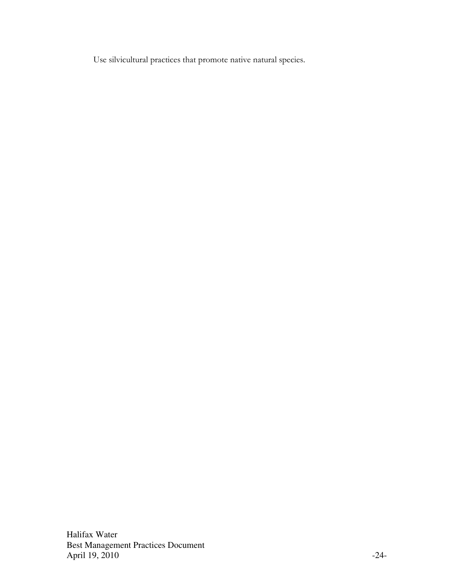Use silvicultural practices that promote native natural species.

Halifax Water Best Management Practices Document April 19, 2010 -24-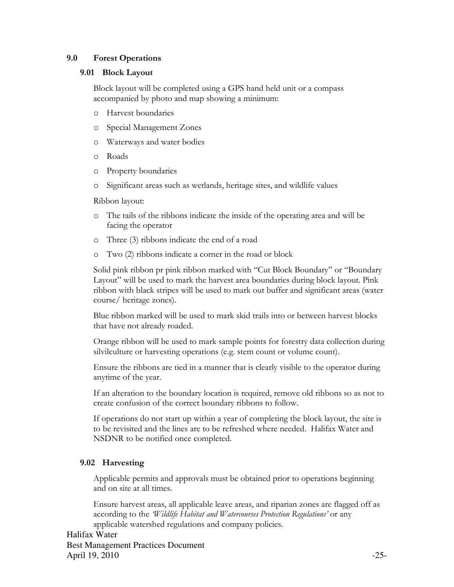## 9.0 Forest Operations

#### 9.01 Block Layout

Block layout will be completed using a GPS hand held unit or a compass accompanied by photo and map showing a minimum:

- o Harvest boundaries
- o Special Management Zones
- o Waterways and water bodies
- o Roads
- o Property boundaries
- o Significant areas such as wetlands, heritage sites, and wildlife values

Ribbon layout:

- o The tails of the ribbons indicate the inside of the operating area and will be facing the operator
- o Three (3) ribbons indicate the end of a road
- o Two (2) ribbons indicate a corner in the road or block

Solid pink ribbon pr pink ribbon marked with "Cut Block Boundary" or "Boundary Layout" will be used to mark the harvest area boundaries during block layout. Pink ribbon with black stripes will be used to mark out buffer and significant areas (water course/ heritage zones).

Blue ribbon marked will be used to mark skid trails into or between harvest blocks that have not already roaded.

Orange ribbon will be used to mark sample points for forestry data collection during silvilculture or harvesting operations (e.g. stem count or volume count).

Ensure the ribbons are tied in a manner that is clearly visible to the operator during anytime of the year.

If an alteration to the boundary location is required, remove old ribbons so as not to create confusion of the correct boundary ribbons to follow.

If operations do not start up within a year of completing the block layout, the site is to be revisited and the lines are to be refreshed where needed. Halifax Water and NSDNR to be notified once completed.

## 9.02 Harvesting

Applicable permits and approvals must be obtained prior to operations beginning and on site at all times.

Ensure harvest areas, all applicable leave areas, and riparian zones are flagged off as according to the *Wildlife Habitat and Watercourses Protection Regulations'* or any applicable watershed regulations and company policies.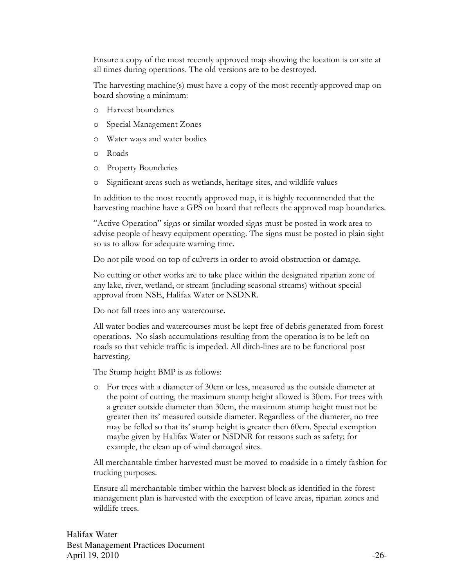Ensure a copy of the most recently approved map showing the location is on site at all times during operations. The old versions are to be destroyed.

The harvesting machine(s) must have a copy of the most recently approved map on board showing a minimum:

- o Harvest boundaries
- o Special Management Zones
- o Water ways and water bodies
- o Roads
- o Property Boundaries
- o Significant areas such as wetlands, heritage sites, and wildlife values

In addition to the most recently approved map, it is highly recommended that the harvesting machine have a GPS on board that reflects the approved map boundaries.

"Active Operation" signs or similar worded signs must be posted in work area to advise people of heavy equipment operating. The signs must be posted in plain sight so as to allow for adequate warning time.

Do not pile wood on top of culverts in order to avoid obstruction or damage.

No cutting or other works are to take place within the designated riparian zone of any lake, river, wetland, or stream (including seasonal streams) without special approval from NSE, Halifax Water or NSDNR.

Do not fall trees into any watercourse.

All water bodies and watercourses must be kept free of debris generated from forest operations. No slash accumulations resulting from the operation is to be left on roads so that vehicle traffic is impeded. All ditch-lines are to be functional post harvesting.

The Stump height BMP is as follows:

o For trees with a diameter of 30cm or less, measured as the outside diameter at the point of cutting, the maximum stump height allowed is 30cm. For trees with a greater outside diameter than 30cm, the maximum stump height must not be greater then its' measured outside diameter. Regardless of the diameter, no tree may be felled so that its' stump height is greater then 60cm. Special exemption maybe given by Halifax Water or NSDNR for reasons such as safety; for example, the clean up of wind damaged sites.

All merchantable timber harvested must be moved to roadside in a timely fashion for trucking purposes.

Ensure all merchantable timber within the harvest block as identified in the forest management plan is harvested with the exception of leave areas, riparian zones and wildlife trees.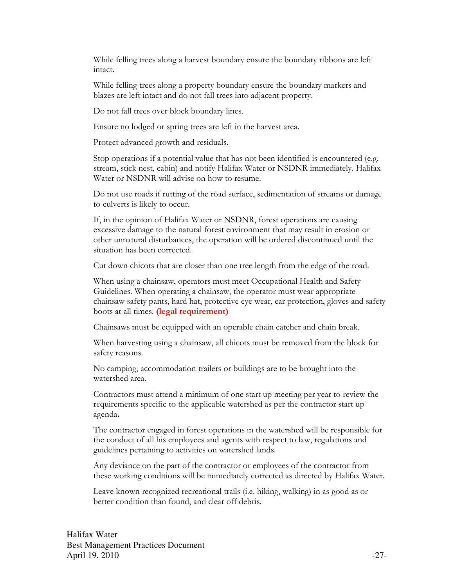While felling trees along a harvest boundary ensure the boundary ribbons are left intact.

While felling trees along a property boundary ensure the boundary markers and blazes are left intact and do not fall trees into adjacent property.

Do not fall trees over block boundary lines.

Ensure no lodged or spring trees are left in the harvest area.

Protect advanced growth and residuals.

Stop operations if a potential value that has not been identified is encountered (e.g. stream, stick nest, cabin) and notify Halifax Water or NSDNR immediately. Halifax Water or NSDNR will advise on how to resume.

Do not use roads if rutting of the road surface, sedimentation of streams or damage to culverts is likely to occur.

If, in the opinion of Halifax Water or NSDNR, forest operations are causing excessive damage to the natural forest environment that may result in erosion or other unnatural disturbances, the operation will be ordered discontinued until the situation has been corrected.

Cut down chicots that are closer than one tree length from the edge of the road.

When using a chainsaw, operators must meet Occupational Health and Safety Guidelines. When operating a chainsaw, the operator must wear appropriate chainsaw safety pants, hard hat, protective eye wear, ear protection, gloves and safety boots at all times. (legal requirement)

Chainsaws must be equipped with an operable chain catcher and chain break.

When harvesting using a chainsaw, all chicots must be removed from the block for safety reasons.

No camping, accommodation trailers or buildings are to be brought into the watershed area.

Contractors must attend a minimum of one start up meeting per year to review the requirements specific to the applicable watershed as per the contractor start up agenda.

The contractor engaged in forest operations in the watershed will be responsible for the conduct of all his employees and agents with respect to law, regulations and guidelines pertaining to activities on watershed lands.

Any deviance on the part of the contractor or employees of the contractor from these working conditions will be immediately corrected as directed by Halifax Water.

Leave known recognized recreational trails (i.e. hiking, walking) in as good as or better condition than found, and clear off debris.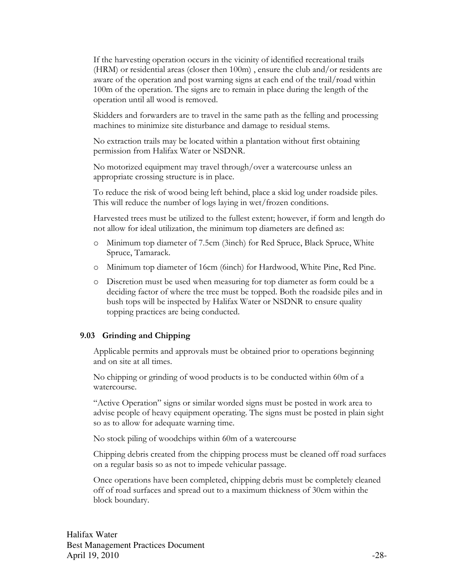If the harvesting operation occurs in the vicinity of identified recreational trails (HRM) or residential areas (closer then 100m) , ensure the club and/or residents are aware of the operation and post warning signs at each end of the trail/road within 100m of the operation. The signs are to remain in place during the length of the operation until all wood is removed.

Skidders and forwarders are to travel in the same path as the felling and processing machines to minimize site disturbance and damage to residual stems.

No extraction trails may be located within a plantation without first obtaining permission from Halifax Water or NSDNR.

No motorized equipment may travel through/over a watercourse unless an appropriate crossing structure is in place.

To reduce the risk of wood being left behind, place a skid log under roadside piles. This will reduce the number of logs laying in wet/frozen conditions.

Harvested trees must be utilized to the fullest extent; however, if form and length do not allow for ideal utilization, the minimum top diameters are defined as:

- o Minimum top diameter of 7.5cm (3inch) for Red Spruce, Black Spruce, White Spruce, Tamarack.
- o Minimum top diameter of 16cm (6inch) for Hardwood, White Pine, Red Pine.
- o Discretion must be used when measuring for top diameter as form could be a deciding factor of where the tree must be topped. Both the roadside piles and in bush tops will be inspected by Halifax Water or NSDNR to ensure quality topping practices are being conducted.

#### 9.03 Grinding and Chipping

Applicable permits and approvals must be obtained prior to operations beginning and on site at all times.

No chipping or grinding of wood products is to be conducted within 60m of a watercourse.

"Active Operation" signs or similar worded signs must be posted in work area to advise people of heavy equipment operating. The signs must be posted in plain sight so as to allow for adequate warning time.

No stock piling of woodchips within 60m of a watercourse

Chipping debris created from the chipping process must be cleaned off road surfaces on a regular basis so as not to impede vehicular passage.

Once operations have been completed, chipping debris must be completely cleaned off of road surfaces and spread out to a maximum thickness of 30cm within the block boundary.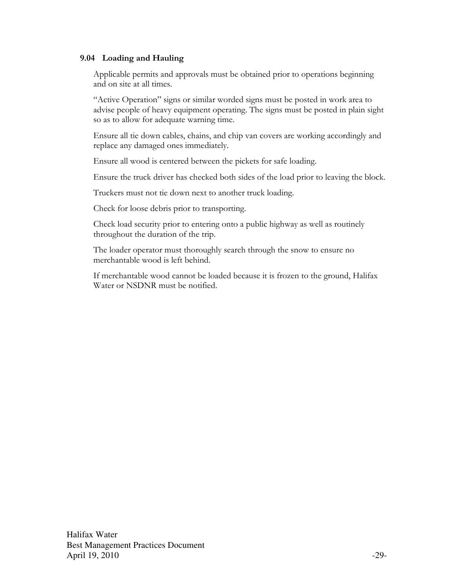#### 9.04 Loading and Hauling

Applicable permits and approvals must be obtained prior to operations beginning and on site at all times.

"Active Operation" signs or similar worded signs must be posted in work area to advise people of heavy equipment operating. The signs must be posted in plain sight so as to allow for adequate warning time.

Ensure all tie down cables, chains, and chip van covers are working accordingly and replace any damaged ones immediately.

Ensure all wood is centered between the pickets for safe loading.

Ensure the truck driver has checked both sides of the load prior to leaving the block.

Truckers must not tie down next to another truck loading.

Check for loose debris prior to transporting.

Check load security prior to entering onto a public highway as well as routinely throughout the duration of the trip.

The loader operator must thoroughly search through the snow to ensure no merchantable wood is left behind.

If merchantable wood cannot be loaded because it is frozen to the ground, Halifax Water or NSDNR must be notified.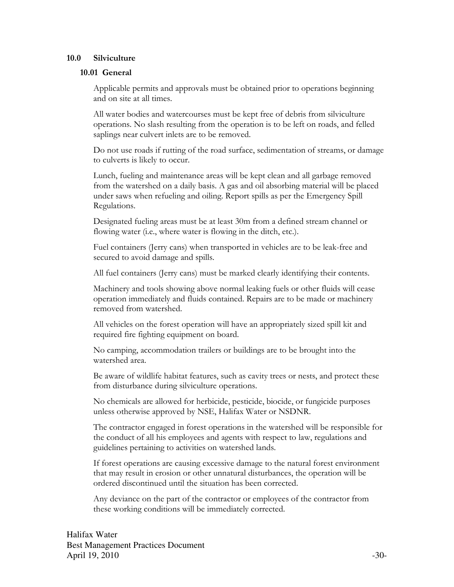#### 10.0 Silviculture

#### 10.01 General

Applicable permits and approvals must be obtained prior to operations beginning and on site at all times.

All water bodies and watercourses must be kept free of debris from silviculture operations. No slash resulting from the operation is to be left on roads, and felled saplings near culvert inlets are to be removed.

Do not use roads if rutting of the road surface, sedimentation of streams, or damage to culverts is likely to occur.

Lunch, fueling and maintenance areas will be kept clean and all garbage removed from the watershed on a daily basis. A gas and oil absorbing material will be placed under saws when refueling and oiling. Report spills as per the Emergency Spill Regulations.

Designated fueling areas must be at least 30m from a defined stream channel or flowing water (i.e., where water is flowing in the ditch, etc.).

Fuel containers (Jerry cans) when transported in vehicles are to be leak-free and secured to avoid damage and spills.

All fuel containers (Jerry cans) must be marked clearly identifying their contents.

Machinery and tools showing above normal leaking fuels or other fluids will cease operation immediately and fluids contained. Repairs are to be made or machinery removed from watershed.

All vehicles on the forest operation will have an appropriately sized spill kit and required fire fighting equipment on board.

No camping, accommodation trailers or buildings are to be brought into the watershed area.

Be aware of wildlife habitat features, such as cavity trees or nests, and protect these from disturbance during silviculture operations.

No chemicals are allowed for herbicide, pesticide, biocide, or fungicide purposes unless otherwise approved by NSE, Halifax Water or NSDNR.

The contractor engaged in forest operations in the watershed will be responsible for the conduct of all his employees and agents with respect to law, regulations and guidelines pertaining to activities on watershed lands.

If forest operations are causing excessive damage to the natural forest environment that may result in erosion or other unnatural disturbances, the operation will be ordered discontinued until the situation has been corrected.

Any deviance on the part of the contractor or employees of the contractor from these working conditions will be immediately corrected.

Halifax Water Best Management Practices Document April 19, 2010  $-30-$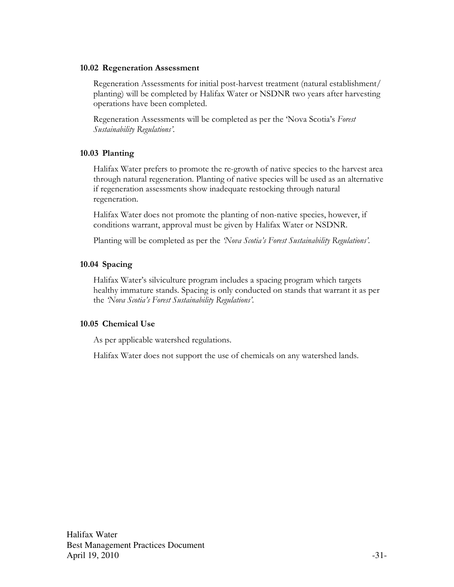#### 10.02 Regeneration Assessment

Regeneration Assessments for initial post-harvest treatment (natural establishment/ planting) will be completed by Halifax Water or NSDNR two years after harvesting operations have been completed.

Regeneration Assessments will be completed as per the 'Nova Scotia's Forest Sustainability Regulations'.

### 10.03 Planting

Halifax Water prefers to promote the re-growth of native species to the harvest area through natural regeneration. Planting of native species will be used as an alternative if regeneration assessments show inadequate restocking through natural regeneration.

Halifax Water does not promote the planting of non-native species, however, if conditions warrant, approval must be given by Halifax Water or NSDNR.

Planting will be completed as per the 'Nova Scotia's Forest Sustainability Regulations'.

## 10.04 Spacing

Halifax Water's silviculture program includes a spacing program which targets healthy immature stands. Spacing is only conducted on stands that warrant it as per the 'Nova Scotia's Forest Sustainability Regulations'.

## 10.05 Chemical Use

As per applicable watershed regulations.

Halifax Water does not support the use of chemicals on any watershed lands.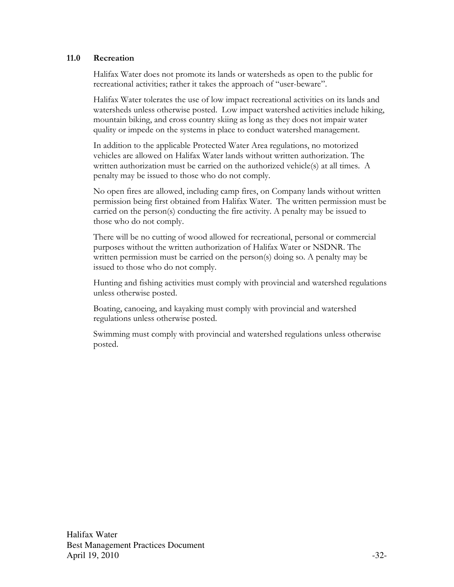#### 11.0 Recreation

Halifax Water does not promote its lands or watersheds as open to the public for recreational activities; rather it takes the approach of "user-beware".

Halifax Water tolerates the use of low impact recreational activities on its lands and watersheds unless otherwise posted. Low impact watershed activities include hiking, mountain biking, and cross country skiing as long as they does not impair water quality or impede on the systems in place to conduct watershed management.

In addition to the applicable Protected Water Area regulations, no motorized vehicles are allowed on Halifax Water lands without written authorization. The written authorization must be carried on the authorized vehicle(s) at all times. A penalty may be issued to those who do not comply.

No open fires are allowed, including camp fires, on Company lands without written permission being first obtained from Halifax Water. The written permission must be carried on the person(s) conducting the fire activity. A penalty may be issued to those who do not comply.

There will be no cutting of wood allowed for recreational, personal or commercial purposes without the written authorization of Halifax Water or NSDNR. The written permission must be carried on the person(s) doing so. A penalty may be issued to those who do not comply.

Hunting and fishing activities must comply with provincial and watershed regulations unless otherwise posted.

Boating, canoeing, and kayaking must comply with provincial and watershed regulations unless otherwise posted.

Swimming must comply with provincial and watershed regulations unless otherwise posted.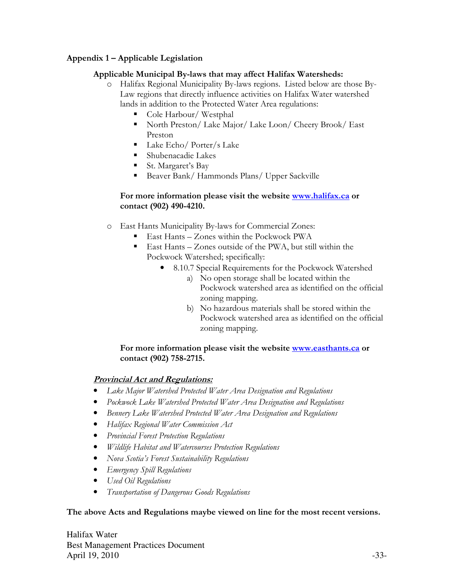## Appendix 1 – Applicable Legislation

## Applicable Municipal By-laws that may affect Halifax Watersheds:

- o Halifax Regional Municipality By-laws regions. Listed below are those By-Law regions that directly influence activities on Halifax Water watershed lands in addition to the Protected Water Area regulations:
	- Cole Harbour/Westphal
	- North Preston/ Lake Major/ Lake Loon/ Cheery Brook/ East Preston
	- Lake Echo/ Porter/s Lake
	- Shubenacadie Lakes
	- St. Margaret's Bay
	- Beaver Bank/ Hammonds Plans/ Upper Sackville

### For more information please visit the website www.halifax.ca or contact (902) 490-4210.

- o East Hants Municipality By-laws for Commercial Zones:
	- East Hants Zones within the Pockwock PWA
	- East Hants Zones outside of the PWA, but still within the Pockwock Watershed; specifically:
		- 8.10.7 Special Requirements for the Pockwock Watershed
			- a) No open storage shall be located within the Pockwock watershed area as identified on the official zoning mapping.
			- b) No hazardous materials shall be stored within the Pockwock watershed area as identified on the official zoning mapping.

## For more information please visit the website www.easthants.ca or contact (902) 758-2715.

## Provincial Act and Regulations:

- Lake Major Watershed Protected Water Area Designation and Regulations
- Pockwock Lake Watershed Protected Water Area Designation and Regulations
- Bennery Lake Watershed Protected Water Area Designation and Regulations
- Halifax Regional Water Commission Act
- Provincial Forest Protection Regulations
- Wildlife Habitat and Watercourses Protection Regulations
- Nova Scotia's Forest Sustainability Regulations
- **•** Emergency Spill Regulations
- Used Oil Regulations
- Transportation of Dangerous Goods Regulations

### The above Acts and Regulations maybe viewed on line for the most recent versions.

Halifax Water Best Management Practices Document April 19, 2010  $-33-$